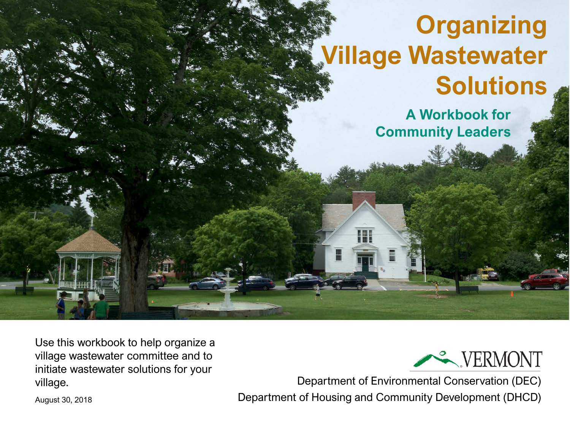# **Organizing Village Wastewater Solutions**

**A Workbook for Community Leaders** 

Use this workbook to help organize a village wastewater committee and to initiate wastewater solutions for your village.



Department of Environmental Conservation (DEC) Department of Housing and Community Development (DHCD)

August 30, 2018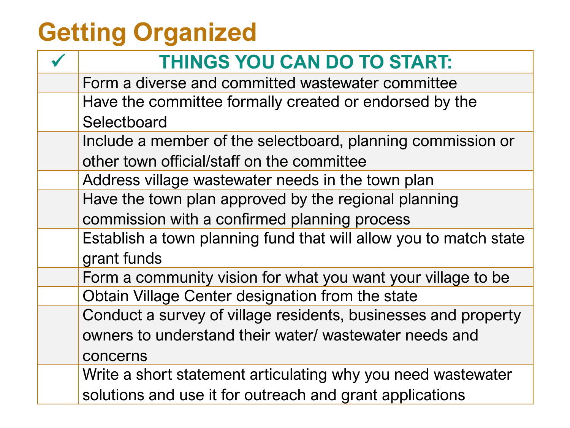# **Getting Organized**

| <b>THINGS YOU CAN DO TO START:</b>                                |
|-------------------------------------------------------------------|
| Form a diverse and committed wastewater committee                 |
| Have the committee formally created or endorsed by the            |
| Selectboard                                                       |
| Include a member of the selectboard, planning commission or       |
| other town official/staff on the committee                        |
| Address village wastewater needs in the town plan                 |
| Have the town plan approved by the regional planning              |
| commission with a confirmed planning process                      |
| Establish a town planning fund that will allow you to match state |
| grant funds                                                       |
| Form a community vision for what you want your village to be      |
| Obtain Village Center designation from the state                  |
| Conduct a survey of village residents, businesses and property    |
| owners to understand their water/ wastewater needs and            |
| concerns                                                          |
| Write a short statement articulating why you need wastewater      |
| solutions and use it for outreach and grant applications          |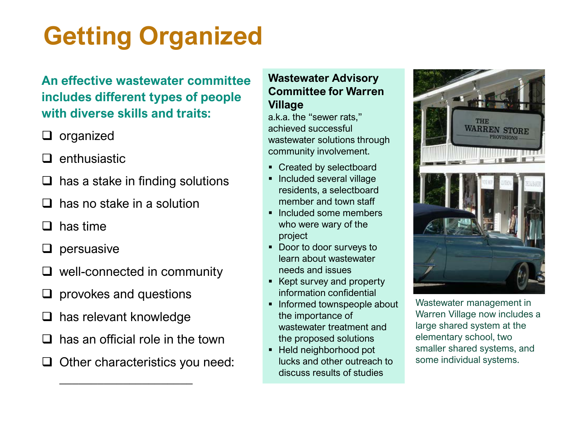# **Getting Organized**

#### **An effective wastewater committee includes different types of people with diverse skills and traits:**

- $\Box$  organized
- $\Box$  enthusiastic
- $\Box$  has a stake in finding solutions
- has no stake in a solution
- $\Box$  has time
- $\square$  persuasive
- well-connected in community
- provokes and questions
- has relevant knowledge
- has an official role in the town

 $\frac{1}{2}$  , which is the set of the set of the set of the set of the set of the set of the set of the set of the set of the set of the set of the set of the set of the set of the set of the set of the set of the set of th

 $\Box$  Other characteristics you need:

#### **Wastewater Advisory Committee for Warren Village**

a.k.a. the "sewer rats," achieved successful wastewater solutions through community involvement.

- Created by selectboard
- Included several village residents, a selectboard member and town staff
- Included some members who were wary of the project
- **Door to door surveys to** learn about wastewater needs and issues
- Kept survey and property information confidential
- Informed townspeople about the importance of wastewater treatment and the proposed solutions
- Held neighborhood pot lucks and other outreach to discuss results of studies



Wastewater management in Warren Village now includes a large shared system at the elementary school, two smaller shared systems, and some individual systems.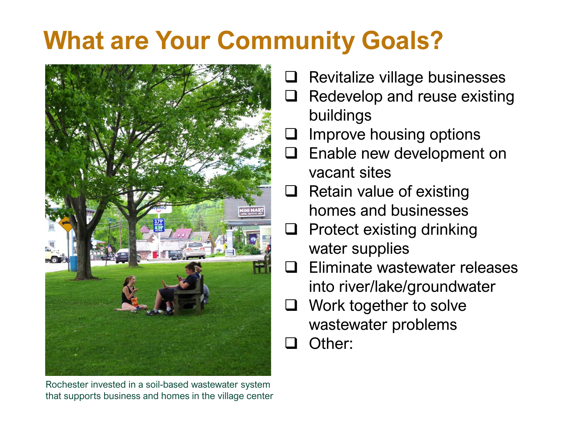# **What are Your Community Goals?**



Rochester invested in a soil-based wastewater system that supports business and homes in the village center

- $\Box$  Revitalize village businesses
- $\Box$  Redevelop and reuse existing buildings
- Improve housing options
- **Enable new development on** vacant sites
- $\Box$  Retain value of existing homes and businesses
- $\Box$  Protect existing drinking water supplies
- $\square$  Eliminate wastewater releases into river/lake/groundwater
- Work together to solve wastewater problems
- Other: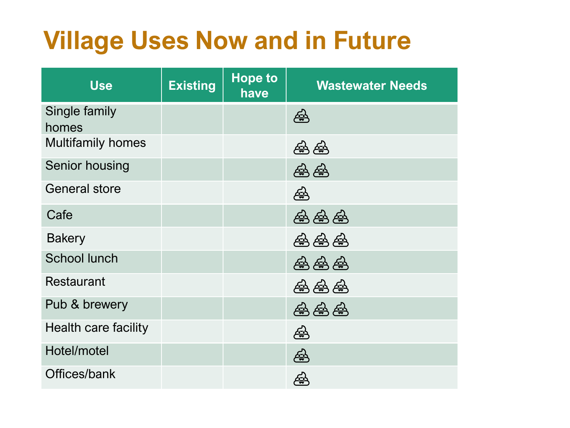### **Village Uses Now and in Future**

| <b>Use</b>                  | <b>Existing</b> | <b>Hope to</b><br>have | <b>Wastewater Needs</b>     |
|-----------------------------|-----------------|------------------------|-----------------------------|
| Single family<br>homes      |                 |                        | €                           |
| <b>Multifamily homes</b>    |                 |                        | 叠叠                          |
| Senior housing              |                 |                        | த்த                         |
| <b>General store</b>        |                 |                        | €                           |
| Cafe                        |                 |                        | 叠叠叠                         |
| <b>Bakery</b>               |                 |                        | 盛盛盛                         |
| <b>School lunch</b>         |                 |                        | 盛盛盛                         |
| <b>Restaurant</b>           |                 |                        | 叠叠叠                         |
| Pub & brewery               |                 |                        | $\circledast$ $\circledast$ |
| <b>Health care facility</b> |                 |                        | €                           |
| Hotel/motel                 |                 |                        | ඏි                          |
| Offices/bank                |                 |                        | 좋                           |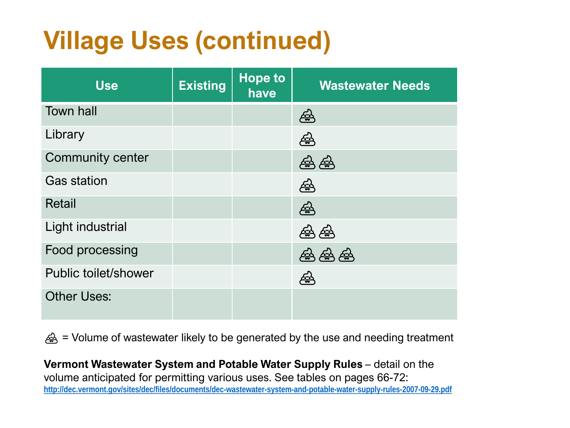# **Village Uses (continued)**

| <b>Use</b>                  | <b>Existing</b> | <b>Hope to</b><br>have | <b>Wastewater Needs</b> |
|-----------------------------|-----------------|------------------------|-------------------------|
| <b>Town hall</b>            |                 |                        | 盈                       |
| Library                     |                 |                        | €                       |
| <b>Community center</b>     |                 |                        | क्ल                     |
| <b>Gas station</b>          |                 |                        | €                       |
| <b>Retail</b>               |                 |                        | €                       |
| Light industrial            |                 |                        | 盈<br>∉                  |
| Food processing             |                 |                        | ුණු<br>受<br><u>443</u>  |
| <b>Public toilet/shower</b> |                 |                        | ذيته                    |
| <b>Other Uses:</b>          |                 |                        |                         |

 $\triangleq$  = Volume of wastewater likely to be generated by the use and needing treatment

**Vermont Wastewater System and Potable Water Supply Rules** - detail on the volume anticipated for permitting various uses. See tables on pages 66-72: **<http://dec.vermont.gov/sites/dec/files/documents/dec-wastewater-system-and-potable-water-supply-rules-2007-09-29.pdf>**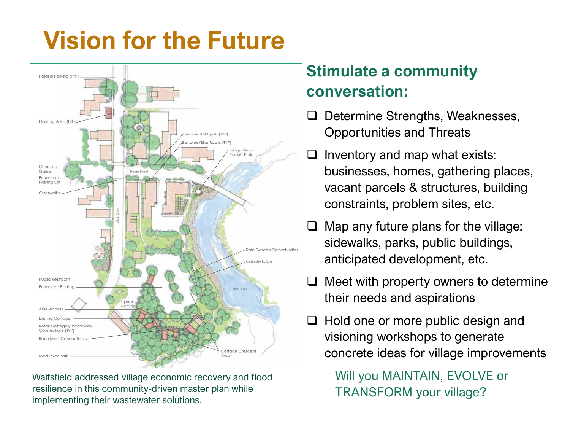# **Vision for the Future**



Waitsfield addressed village economic recovery and flood resilience in this community-driven master plan while implementing their wastewater solutions.

#### **Stimulate a community conversation:**

- $\Box$  Determine Strengths, Weaknesses, Opportunities and Threats
- $\Box$  Inventory and map what exists: businesses, homes, gathering places, vacant parcels & structures, building constraints, problem sites, etc.
- $\Box$  Map any future plans for the village: sidewalks, parks, public buildings, anticipated development, etc.
- $\Box$  Meet with property owners to determine their needs and aspirations
- $\Box$  Hold one or more public design and visioning workshops to generate concrete ideas for village improvements

Will you MAINTAIN, EVOLVE or TRANSFORM your village?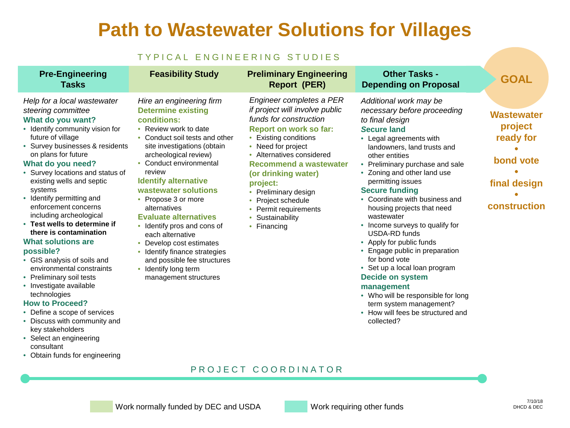#### **Path to Wastewater Solutions for Villages**

#### TYPICAL ENGINEERING STUDIES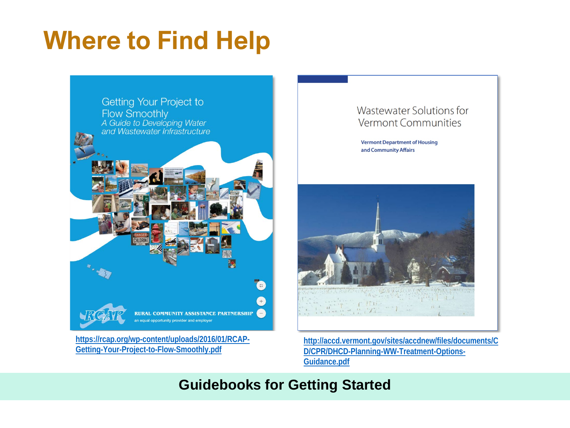### **Where to Find Help**



**[https://rcap.org/wp-content/uploads/2016/01/RCAP-](https://rcap.org/wp-content/uploads/2016/01/RCAP-Getting-Your-Project-to-Flow-Smoothly.pdf)Getting-Your-Project-to-Flow-Smoothly.pdf**

#### Wastewater Solutions for **Vermont Communities**

**Vermont Department of Housing** and Community Affairs



**[http://accd.vermont.gov/sites/accdnew/files/documents/C](http://accd.vermont.gov/sites/accdnew/files/documents/CD/CPR/DHCD-Planning-WW-Treatment-Options-Guidance.pdf) D/CPR/DHCD-Planning-WW-Treatment-Options-Guidance.pdf**

#### **Guidebooks for Getting Started**